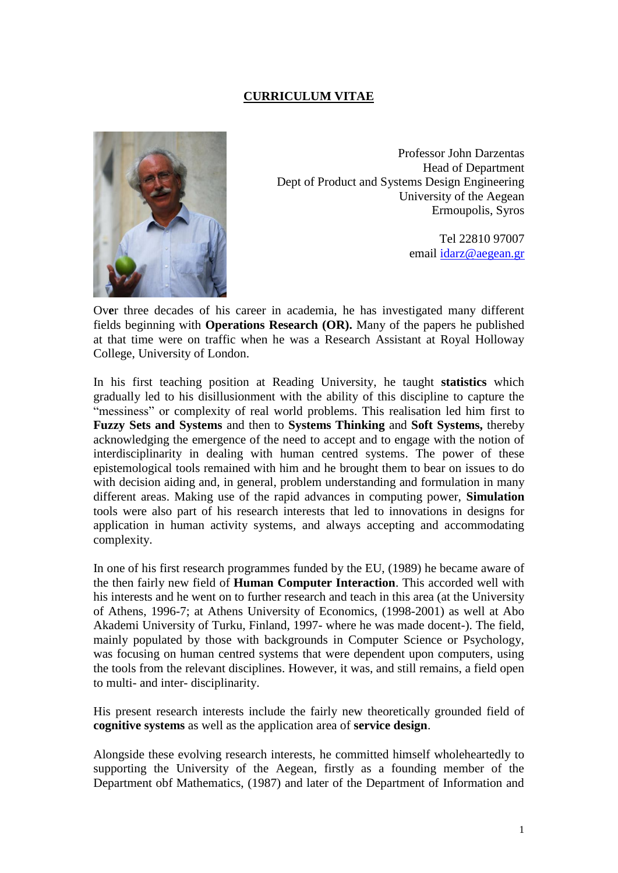## **CURRICULUM VITAE**



Professor John Darzentas Head of Department Dept of Product and Systems Design Engineering University of the Aegean Ermoupolis, Syros

> Tel 22810 97007 email [idarz@aegean.gr](mailto:idarz@aegean.gr)

Ov**e**r three decades of his career in academia, he has investigated many different fields beginning with **Operations Research (OR).** Many of the papers he published at that time were on traffic when he was a Research Assistant at Royal Holloway College, University of London.

In his first teaching position at Reading University, he taught **statistics** which gradually led to his disillusionment with the ability of this discipline to capture the "messiness" or complexity of real world problems. This realisation led him first to **Fuzzy Sets and Systems** and then to **Systems Thinking** and **Soft Systems,** thereby acknowledging the emergence of the need to accept and to engage with the notion of interdisciplinarity in dealing with human centred systems. The power of these epistemological tools remained with him and he brought them to bear on issues to do with decision aiding and, in general, problem understanding and formulation in many different areas. Making use of the rapid advances in computing power, **Simulation** tools were also part of his research interests that led to innovations in designs for application in human activity systems, and always accepting and accommodating complexity.

In one of his first research programmes funded by the EU, (1989) he became aware of the then fairly new field of **Human Computer Interaction**. This accorded well with his interests and he went on to further research and teach in this area (at the University of Athens, 1996-7; at Athens University of Economics, (1998-2001) as well at Abo Akademi University of Turku, Finland, 1997- where he was made docent-). The field, mainly populated by those with backgrounds in Computer Science or Psychology, was focusing on human centred systems that were dependent upon computers, using the tools from the relevant disciplines. However, it was, and still remains, a field open to multi- and inter- disciplinarity.

His present research interests include the fairly new theoretically grounded field of **cognitive systems** as well as the application area of **service design**.

Alongside these evolving research interests, he committed himself wholeheartedly to supporting the University of the Aegean, firstly as a founding member of the Department obf Mathematics, (1987) and later of the Department of Information and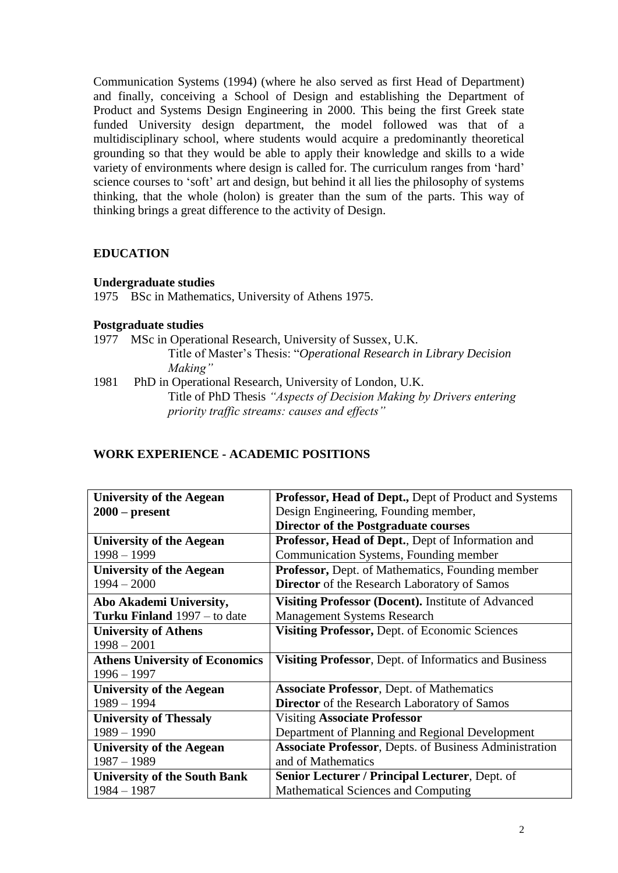Communication Systems (1994) (where he also served as first Head of Department) and finally, conceiving a School of Design and establishing the Department of Product and Systems Design Engineering in 2000. This being the first Greek state funded University design department, the model followed was that of a multidisciplinary school, where students would acquire a predominantly theoretical grounding so that they would be able to apply their knowledge and skills to a wide variety of environments where design is called for. The curriculum ranges from 'hard' science courses to 'soft' art and design, but behind it all lies the philosophy of systems thinking, that the whole (holon) is greater than the sum of the parts. This way of thinking brings a great difference to the activity of Design.

## **EDUCATION**

#### **Undergraduate studies**

1975 BSc in Mathematics, University of Athens 1975.

## **Postgraduate studies**

1977 MSc in Operational Research, University of Sussex, U.K.

Title of Master's Thesis: ―*Operational Research in Library Decision Making"*

1981 PhD in Operational Research, University of London, U.K. Title of PhD Thesis *"Aspects of Decision Making by Drivers entering priority traffic streams: causes and effects"*

## **WORK EXPERIENCE - ACADEMIC POSITIONS**

| <b>University of the Aegean</b>       | Professor, Head of Dept., Dept of Product and Systems  |
|---------------------------------------|--------------------------------------------------------|
| $2000$ – present                      | Design Engineering, Founding member,                   |
|                                       | <b>Director of the Postgraduate courses</b>            |
| University of the Aegean              | Professor, Head of Dept., Dept of Information and      |
| $1998 - 1999$                         | Communication Systems, Founding member                 |
| <b>University of the Aegean</b>       | Professor, Dept. of Mathematics, Founding member       |
| $1994 - 2000$                         | <b>Director</b> of the Research Laboratory of Samos    |
| Abo Akademi University,               | Visiting Professor (Docent). Institute of Advanced     |
| <b>Turku Finland</b> 1997 – to date   | <b>Management Systems Research</b>                     |
| <b>University of Athens</b>           | Visiting Professor, Dept. of Economic Sciences         |
| $1998 - 2001$                         |                                                        |
| <b>Athens University of Economics</b> | Visiting Professor, Dept. of Informatics and Business  |
| $1996 - 1997$                         |                                                        |
| <b>University of the Aegean</b>       | <b>Associate Professor</b> , Dept. of Mathematics      |
| $1989 - 1994$                         | <b>Director</b> of the Research Laboratory of Samos    |
| <b>University of Thessaly</b>         | <b>Visiting Associate Professor</b>                    |
| $1989 - 1990$                         | Department of Planning and Regional Development        |
| <b>University of the Aegean</b>       | Associate Professor, Depts. of Business Administration |
| $1987 - 1989$                         | and of Mathematics                                     |
| <b>University of the South Bank</b>   | Senior Lecturer / Principal Lecturer, Dept. of         |
| $1984 - 1987$                         | Mathematical Sciences and Computing                    |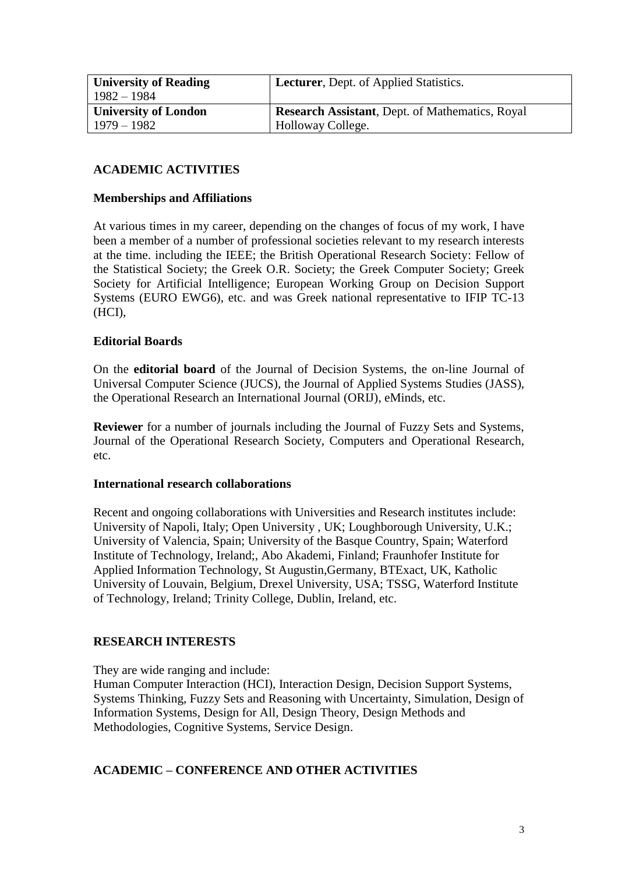| <b>University of Reading</b><br>$1982 - 1984$ | <b>Lecturer</b> , Dept. of Applied Statistics.         |
|-----------------------------------------------|--------------------------------------------------------|
| <b>University of London</b>                   | <b>Research Assistant, Dept. of Mathematics, Royal</b> |
| $1979 - 1982$                                 | Holloway College.                                      |

# **ACADEMIC ACTIVITIES**

#### **Memberships and Affiliations**

At various times in my career, depending on the changes of focus of my work, I have been a member of a number of professional societies relevant to my research interests at the time. including the IEEE; the British Operational Research Society: Fellow of the Statistical Society; the Greek O.R. Society; the Greek Computer Society; Greek Society for Artificial Intelligence; European Working Group on Decision Support Systems (EURO EWG6), etc. and was Greek national representative to IFIP TC-13 (HCI),

## **Editorial Boards**

On the **editorial board** of the Journal of Decision Systems, the on-line Journal of Universal Computer Science (JUCS), the Journal of Applied Systems Studies (JASS), the Operational Research an International Journal (ORIJ), eMinds, etc.

**Reviewer** for a number of journals including the Journal of Fuzzy Sets and Systems, Journal of the Operational Research Society, Computers and Operational Research, etc.

#### **International research collaborations**

Recent and ongoing collaborations with Universities and Research institutes include: University of Napoli, Italy; Open University , UK; Loughborough University, U.K.; University of Valencia, Spain; University of the Basque Country, Spain; Waterford Institute of Technology, Ireland;, Abo Akademi, Finland; Fraunhofer Institute for Applied Information Technology, St Augustin,Germany, BTExact, UK, Katholic University of Louvain, Belgium, Drexel University, USA; TSSG, Waterford Institute of Technology, Ireland; Trinity College, Dublin, Ireland, etc.

#### **RESEARCH INTERESTS**

They are wide ranging and include:

Human Computer Interaction (HCI), Interaction Design, Decision Support Systems, Systems Thinking, Fuzzy Sets and Reasoning with Uncertainty, Simulation, Design of Information Systems, Design for All, Design Theory, Design Methods and Methodologies, Cognitive Systems, Service Design.

#### **ACADEMIC – CONFERENCE AND OTHER ACTIVITIES**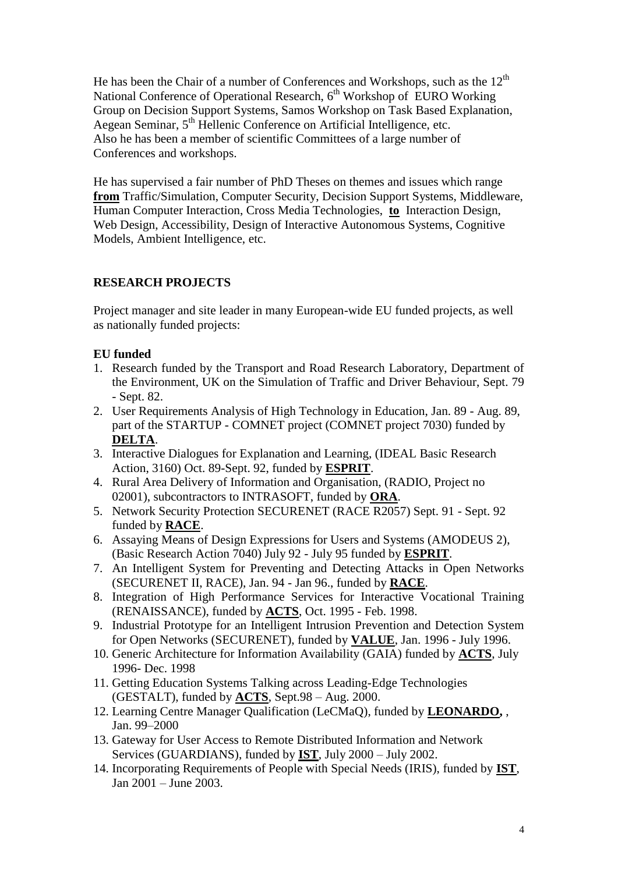He has been the Chair of a number of Conferences and Workshops, such as the  $12<sup>th</sup>$ National Conference of Operational Research, 6<sup>th</sup> Workshop of EURO Working Group on Decision Support Systems, Samos Workshop on Task Based Explanation, Aegean Seminar, 5<sup>th</sup> Hellenic Conference on Artificial Intelligence, etc. Also he has been a member of scientific Committees of a large number of Conferences and workshops.

He has supervised a fair number of PhD Theses on themes and issues which range **from** Traffic/Simulation, Computer Security, Decision Support Systems, Middleware, Human Computer Interaction, Cross Media Technologies, **to** Interaction Design, Web Design, Accessibility, Design of Interactive Autonomous Systems, Cognitive Models, Ambient Intelligence, etc.

# **RESEARCH PROJECTS**

Project manager and site leader in many European-wide EU funded projects, as well as nationally funded projects:

## **EU funded**

- 1. Research funded by the Transport and Road Research Laboratory, Department of the Environment, UK on the Simulation of Traffic and Driver Behaviour, Sept. 79 - Sept. 82.
- 2. User Requirements Analysis of High Technology in Education, Jan. 89 Aug. 89, part of the STARTUP - COMNET project (COMNET project 7030) funded by **DELTA**.
- 3. Interactive Dialogues for Explanation and Learning, (IDEAL Basic Research Action, 3160) Oct. 89-Sept. 92, funded by **ESPRIT**.
- 4. Rural Area Delivery of Information and Organisation, (RADIO, Project no 02001), subcontractors to INTRASOFT, funded by **ORA**.
- 5. Network Security Protection SECURENET (RACE R2057) Sept. 91 Sept. 92 funded by **RACE**.
- 6. Assaying Means of Design Expressions for Users and Systems (AMODEUS 2), (Basic Research Action 7040) July 92 - July 95 funded by **ESPRIT**.
- 7. An Intelligent System for Preventing and Detecting Attacks in Open Networks (SECURENET II, RACE), Jan. 94 - Jan 96., funded by **RACE**.
- 8. Integration of High Performance Services for Interactive Vocational Training (RENAISSANCE), funded by **ACTS**, Oct. 1995 - Feb. 1998.
- 9. Industrial Prototype for an Intelligent Intrusion Prevention and Detection System for Open Networks (SECURENET), funded by **VALUE**, Jan. 1996 - July 1996.
- 10. Generic Architecture for Information Availability (GAIA) funded by **ACTS**, July 1996- Dec. 1998
- 11. Getting Education Systems Talking across Leading-Edge Technologies (GESTALT), funded by **ACTS**, Sept.98 – Aug. 2000.
- 12. Learning Centre Manager Qualification (LeCMaQ), funded by **LEONARDO,** , Jan. 99–2000
- 13. Gateway for User Access to Remote Distributed Information and Network Services (GUARDIANS), funded by **IST**, July 2000 – July 2002.
- 14. Incorporating Requirements of People with Special Needs (IRIS), funded by **IST**, Jan 2001 – June 2003.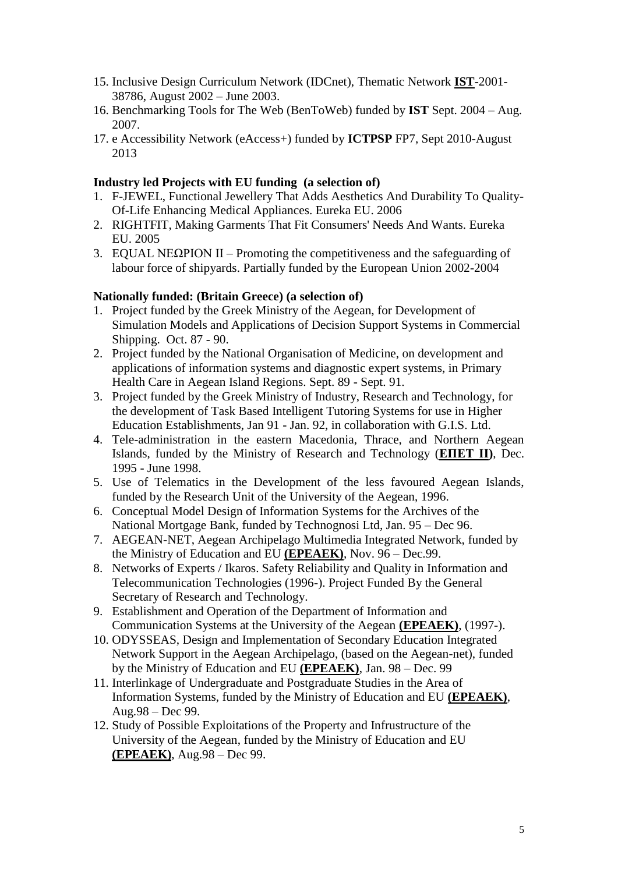- 15. Inclusive Design Curriculum Network (IDCnet), Thematic Network **IST**-2001- 38786, August 2002 – June 2003.
- 16. Benchmarking Tools for The Web (BenToWeb) funded by **IST** Sept. 2004 Aug. 2007.
- 17. e Accessibility Network (eAccess+) funded by **ICTPSP** FP7, Sept 2010-August 2013

## **Industry led Projects with EU funding (a selection of)**

- 1. F-JEWEL, Functional Jewellery That Adds Aesthetics And Durability To Quality-Of-Life Enhancing Medical Appliances. Eureka EU. 2006
- 2. RIGHTFIT, Making Garments That Fit Consumers' Needs And Wants. Eureka EU. 2005
- 3. EQUAL ΝΕΩΡΙΟΝ ΙΙ Promoting the competitiveness and the safeguarding of labour force of shipyards. Partially funded by the European Union 2002-2004

## **Nationally funded: (Britain Greece) (a selection of)**

- 1. Project funded by the Greek Ministry of the Aegean, for Development of Simulation Models and Applications of Decision Support Systems in Commercial Shipping. Oct. 87 - 90.
- 2. Project funded by the National Organisation of Medicine, on development and applications of information systems and diagnostic expert systems, in Primary Health Care in Aegean Island Regions. Sept. 89 - Sept. 91.
- 3. Project funded by the Greek Ministry of Industry, Research and Technology, for the development of Task Based Intelligent Tutoring Systems for use in Higher Education Establishments, Jan 91 - Jan. 92, in collaboration with G.I.S. Ltd.
- 4. Tele-administration in the eastern Macedonia, Thrace, and Northern Aegean Islands, funded by the Ministry of Research and Technology (**ΕΠΕΤ ΙΙ)**, Dec. 1995 - June 1998.
- 5. Use of Telematics in the Development of the less favoured Aegean Islands, funded by the Research Unit of the University of the Aegean, 1996.
- 6. Conceptual Model Design of Information Systems for the Archives of the National Mortgage Bank, funded by Technognosi Ltd, Jan. 95 – Dec 96.
- 7. AEGEAN-NET, Aegean Archipelago Multimedia Integrated Network, funded by the Ministry of Education and EU **(EPEAEK)**, Nov. 96 – Dec.99.
- 8. Networks of Experts / Ikaros. Safety Reliability and Quality in Information and Telecommunication Technologies (1996-). Project Funded By the General Secretary of Research and Technology.
- 9. Establishment and Operation of the Department of Information and Communication Systems at the University of the Aegean **(EPEAEK)**, (1997-).
- 10. ODYSSEAS, Design and Implementation of Secondary Education Integrated Network Support in the Aegean Archipelago, (based on the Aegean-net), funded by the Ministry of Education and EU **(EPEAEK)**, Jan. 98 – Dec. 99
- 11. Interlinkage of Undergraduate and Postgraduate Studies in the Area of Information Systems, funded by the Ministry of Education and EU **(EPEAEK)**, Aug.98 – Dec 99.
- 12. Study of Possible Exploitations of the Property and Infrustructure of the University of the Aegean, funded by the Ministry of Education and EU **(EPEAEK)**, Aug.98 – Dec 99.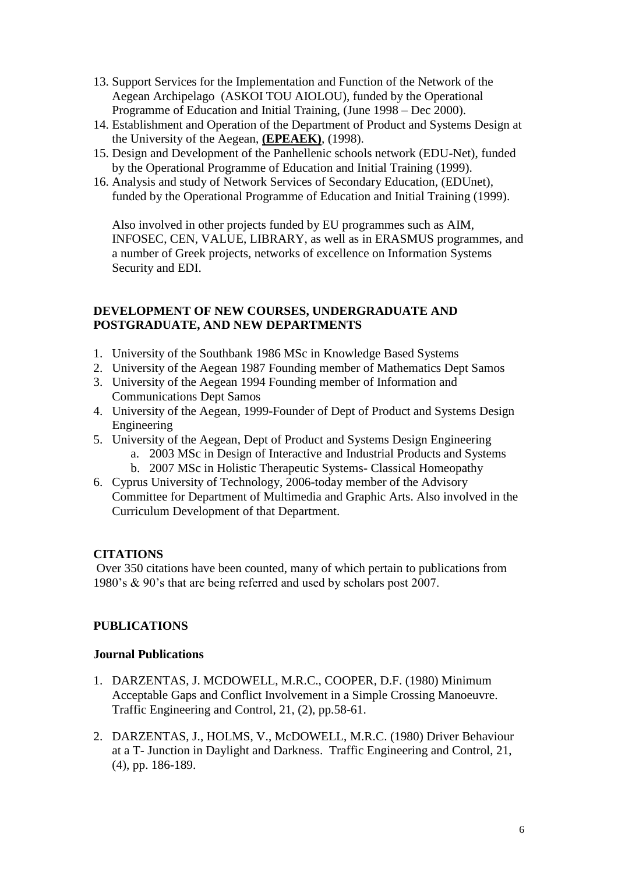- 13. Support Services for the Implementation and Function of the Network of the Aegean Archipelago (ASKOI TOU AIOLOU), funded by the Operational Programme of Education and Initial Training, (June 1998 – Dec 2000).
- 14. Establishment and Operation of the Department of Product and Systems Design at the University of the Aegean, **(EPEAEK)**, (1998).
- 15. Design and Development of the Panhellenic schools network (EDU-Net), funded by the Operational Programme of Education and Initial Training (1999).
- 16. Analysis and study of Network Services of Secondary Education, (EDUnet), funded by the Operational Programme of Education and Initial Training (1999).

Also involved in other projects funded by EU programmes such as AIM, INFOSEC, CEN, VALUE, LIBRARY, as well as in ERASMUS programmes, and a number of Greek projects, networks of excellence on Information Systems Security and EDI.

## **DEVELOPMENT OF NEW COURSES, UNDERGRADUATE AND POSTGRADUATE, AND NEW DEPARTMENTS**

- 1. University of the Southbank 1986 MSc in Knowledge Based Systems
- 2. University of the Aegean 1987 Founding member of Mathematics Dept Samos
- 3. University of the Aegean 1994 Founding member of Information and Communications Dept Samos
- 4. University of the Aegean, 1999-Founder of Dept of Product and Systems Design Engineering
- 5. University of the Aegean, Dept of Product and Systems Design Engineering
	- a. 2003 MSc in Design of Interactive and Industrial Products and Systems
	- b. 2007 MSc in Holistic Therapeutic Systems- Classical Homeopathy
- 6. Cyprus University of Technology, 2006-today member of the Advisory Committee for Department of Multimedia and Graphic Arts. Also involved in the Curriculum Development of that Department.

# **CITATIONS**

Over 350 citations have been counted, many of which pertain to publications from 1980's & 90's that are being referred and used by scholars post 2007.

## **PUBLICATIONS**

## **Journal Publications**

- 1. DARZENTAS, J. MCDOWELL, M.R.C., COOPER, D.F. (1980) Minimum Acceptable Gaps and Conflict Involvement in a Simple Crossing Manoeuvre. Traffic Engineering and Control, 21, (2), pp.58-61.
- 2. DARZENTAS, J., HOLMS, V., McDOWELL, M.R.C. (1980) Driver Behaviour at a T- Junction in Daylight and Darkness. Traffic Engineering and Control, 21, (4), pp. 186-189.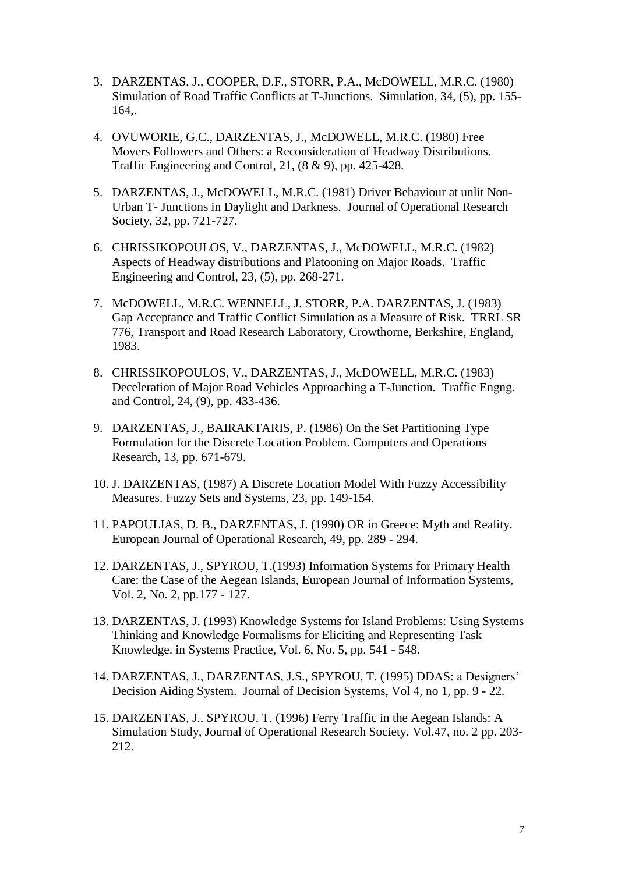- 3. DARZENTAS, J., COOPER, D.F., STORR, P.A., McDOWELL, M.R.C. (1980) Simulation of Road Traffic Conflicts at T-Junctions. Simulation, 34, (5), pp. 155- 164,.
- 4. OVUWORIE, G.C., DARZENTAS, J., McDOWELL, M.R.C. (1980) Free Movers Followers and Others: a Reconsideration of Headway Distributions. Traffic Engineering and Control, 21, (8 & 9), pp. 425-428.
- 5. DARZENTAS, J., McDOWELL, M.R.C. (1981) Driver Behaviour at unlit Non-Urban T- Junctions in Daylight and Darkness. Journal of Operational Research Society, 32, pp. 721-727.
- 6. CHRISSIKOPOULOS, V., DARZENTAS, J., McDOWELL, M.R.C. (1982) Aspects of Headway distributions and Platooning on Major Roads. Traffic Engineering and Control, 23, (5), pp. 268-271.
- 7. McDOWELL, M.R.C. WENNELL, J. STORR, P.A. DARZENTAS, J. (1983) Gap Acceptance and Traffic Conflict Simulation as a Measure of Risk. TRRL SR 776, Transport and Road Research Laboratory, Crowthorne, Berkshire, England, 1983.
- 8. CHRISSIKOPOULOS, V., DARZENTAS, J., McDOWELL, M.R.C. (1983) Deceleration of Major Road Vehicles Approaching a T-Junction. Traffic Engng. and Control, 24, (9), pp. 433-436.
- 9. DARZENTAS, J., BAIRAKTARIS, P. (1986) On the Set Partitioning Type Formulation for the Discrete Location Problem. Computers and Operations Research, 13, pp. 671-679.
- 10. J. DARZENTAS, (1987) A Discrete Location Model With Fuzzy Accessibility Measures. Fuzzy Sets and Systems, 23, pp. 149-154.
- 11. PAPOULIAS, D. B., DARZENTAS, J. (1990) OR in Greece: Myth and Reality. European Journal of Operational Research, 49, pp. 289 - 294.
- 12. DARZENTAS, J., SPYROU, T.(1993) Information Systems for Primary Health Care: the Case of the Aegean Islands, European Journal of Information Systems, Vol. 2, No. 2, pp.177 - 127.
- 13. DARZENTAS, J. (1993) Knowledge Systems for Island Problems: Using Systems Thinking and Knowledge Formalisms for Eliciting and Representing Task Knowledge. in Systems Practice, Vol. 6, No. 5, pp. 541 - 548.
- 14. DARZENTAS, J., DARZENTAS, J.S., SPYROU, T. (1995) DDAS: a Designers' Decision Aiding System. Journal of Decision Systems, Vol 4, no 1, pp. 9 - 22.
- 15. DARZENTAS, J., SPYROU, T. (1996) Ferry Traffic in the Aegean Islands: A Simulation Study, Journal of Operational Research Society. Vol.47, no. 2 pp. 203- 212.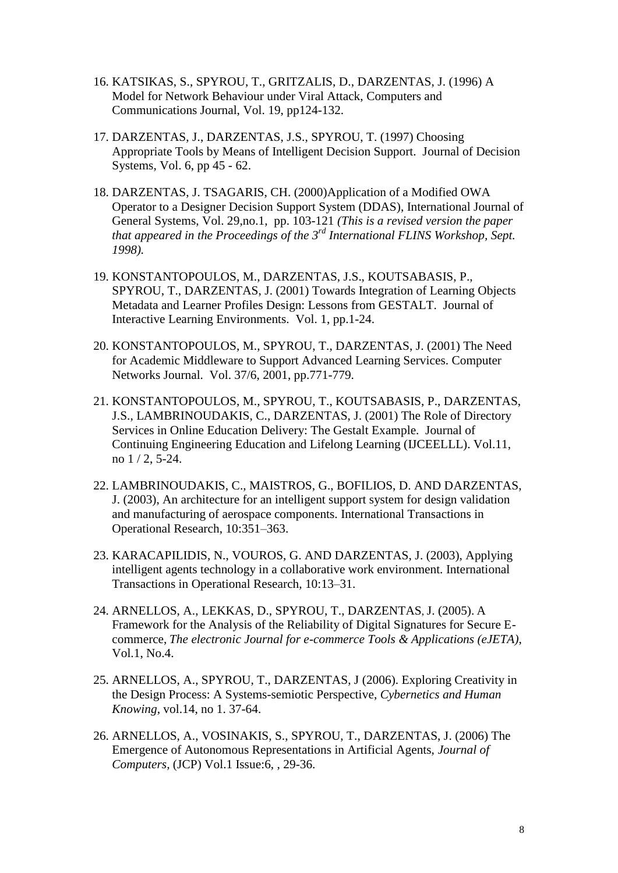- 16. KATSIKAS, S., SPYROU, T., GRITZALIS, D., DARZENTAS, J. (1996) A Model for Network Behaviour under Viral Attack, Computers and Communications Journal, Vol. 19, pp124-132.
- 17. DARZENTAS, J., DARZENTAS, J.S., SPYROU, T. (1997) Choosing Appropriate Tools by Means of Intelligent Decision Support. Journal of Decision Systems, Vol. 6, pp 45 - 62.
- 18. DARZENTAS, J. TSAGARIS, CH. (2000)Application of a Modified OWA Operator to a Designer Decision Support System (DDAS), International Journal of General Systems, Vol. 29,no.1, pp. 103-121 *(This is a revised version the paper that appeared in the Proceedings of the 3rd International FLINS Workshop, Sept. 1998).*
- 19. KONSTANTOPOULOS, M., DARZENTAS, J.S., KOUTSABASIS, P., SPYROU, T., DARZENTAS, J. (2001) Towards Integration of Learning Objects Metadata and Learner Profiles Design: Lessons from GESTALT. Journal of Interactive Learning Environments. Vol. 1, pp.1-24.
- 20. KONSTANTOPOULOS, M., SPYROU, T., DARZENTAS, J. (2001) The Need for Academic Middleware to Support Advanced Learning Services. Computer Networks Journal. Vol. 37/6, 2001, pp.771-779.
- 21. KONSTANTOPOULOS, M., SPYROU, T., KOUTSABASIS, P., DARZENTAS, J.S., LAMBRINOUDAKIS, C., DARZENTAS, J. (2001) The Role of Directory Services in Online Education Delivery: The Gestalt Example. Journal of Continuing Engineering Education and Lifelong Learning (IJCEELLL). Vol.11, no 1 / 2, 5-24.
- 22. LAMBRINOUDAKIS, C., MAISTROS, G., BOFILIOS, D. AND DARZENTAS, J. (2003), An architecture for an intelligent support system for design validation and manufacturing of aerospace components. International Transactions in Operational Research, 10:351–363.
- 23. KARACAPILIDIS, N., VOUROS, G. AND DARZENTAS, J. (2003), Applying intelligent agents technology in a collaborative work environment. International Transactions in Operational Research, 10:13–31.
- 24. ARNELLOS, A., LEKKAS, D., SPYROU, T., DARZENTAS, J. (2005). [A](http://www.syros.aegean.gr/users/lekkas/pubs/j/2005ejeta.htm)  [Framework for the Analysis of the Reliability of Digital Signatures for Secure E](http://www.syros.aegean.gr/users/lekkas/pubs/j/2005ejeta.htm)[commerce,](http://www.syros.aegean.gr/users/lekkas/pubs/j/2005ejeta.htm) *The electronic Journal for e-commerce Tools & Applications (eJETA)*, Vol.1, No.4.
- 25. ARNELLOS, A., SPYROU, T., DARZENTAS, J (2006). Exploring Creativity in the Design Process: A Systems-semiotic Perspective, *Cybernetics and Human Knowing*, vol.14, no 1. 37-64.
- 26. ARNELLOS, A., VOSINAKIS, S., SPYROU, T., DARZENTAS, J. (2006) The Emergence of Autonomous Representations in Artificial Agents, *Journal of Computers,* (JCP) Vol.1 Issue:6, , 29-36.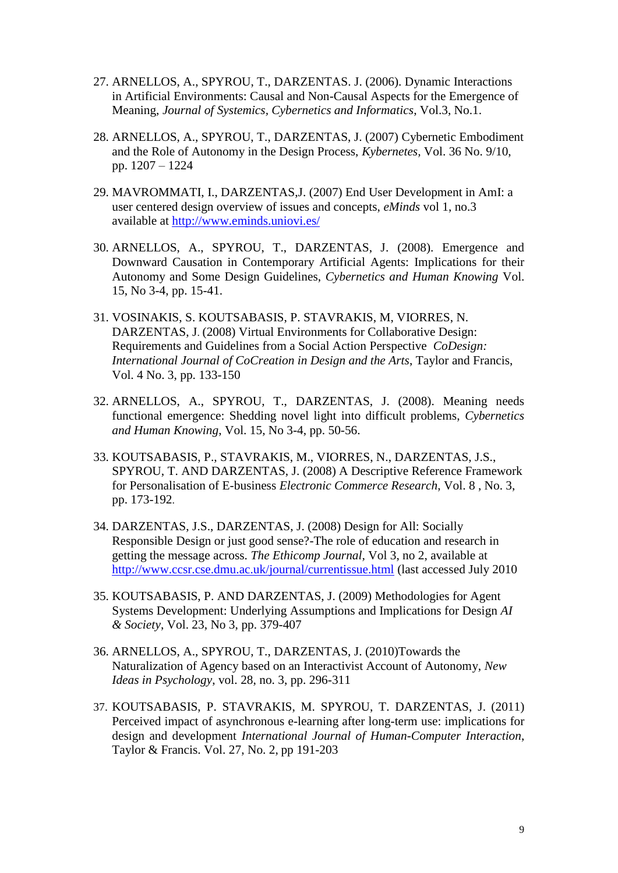- 27. ARNELLOS, A., SPYROU, T., DARZENTAS. J. (2006). Dynamic Interactions in Artificial Environments: Causal and Non-Causal Aspects for the Emergence of Meaning, *Journal of Systemics, Cybernetics and Informatics*, Vol.3, No.1.
- 28. ARNELLOS, A., SPYROU, T., DARZENTAS, J. (2007) Cybernetic Embodiment and the Role of Autonomy in the Design Process, *Kybernetes,* Vol. 36 No. 9/10, pp. 1207 – 1224
- 29. MAVROMMATI, I., DARZENTAS,J. (2007) End User Development in AmI: a user centered design overview of issues and concepts, *eMinds* vol 1, no.3 available at<http://www.eminds.uniovi.es/>
- 30. ARNELLOS, A., SPYROU, T., DARZENTAS, J. (2008). Emergence and Downward Causation in Contemporary Artificial Agents: Implications for their Autonomy and Some Design Guidelines, *[Cybernetics and Human Knowing](http://www.chkjournal.org/)* Vol. 15, No 3-4, pp. 15-41.
- 31. VOSINAKIS, S. KOUTSABASIS, P. STAVRAKIS, M, VIORRES, N. DARZENTAS, J. (2008) Virtual Environments for Collaborative Design: Requirements and Guidelines from a Social Action Perspective *CoDesign: International Journal of CoCreation in Design and the Arts*, Taylor and Francis, Vol. 4 No. 3, pp. 133-150
- 32. ARNELLOS, A., SPYROU, T., DARZENTAS, J. (2008). Meaning needs functional emergence: Shedding novel light into difficult problems, *[Cybernetics](http://www.chkjournal.org/)  [and Human Knowing](http://www.chkjournal.org/)*, Vol. 15, No 3-4, pp. 50-56.
- 33. KOUTSABASIS, P., STAVRAKIS, M., VIORRES, N., DARZENTAS, J.S., SPYROU, T. AND DARZENTAS, J. (2008) A Descriptive Reference Framework for Personalisation of E-business *Electronic Commerce Research*, Vol. 8 , No. 3, pp. 173-192.
- 34. DARZENTAS, J.S., DARZENTAS, J. (2008) Design for All: Socially Responsible Design or just good sense?-The role of education and research in getting the message across. *The Ethicomp Journal,* Vol 3, no 2, available at <http://www.ccsr.cse.dmu.ac.uk/journal/currentissue.html> (last accessed July 2010
- 35. KOUTSABASIS, P. AND DARZENTAS, J. (2009) Methodologies for Agent Systems Development: Underlying Assumptions and Implications for Design *AI & Society*, Vol. 23, No 3, pp. 379-407
- 36. ARNELLOS, A., SPYROU, T., DARZENTAS, J. (2010)Towards the Naturalization of Agency based on an Interactivist Account of Autonomy, *New Ideas in Psychology*, vol. 28, no. 3, pp. 296-311
- 37. KOUTSABASIS, P. STAVRAKIS, M. SPYROU, T. DARZENTAS, J. (2011) Perceived impact of asynchronous e-learning after long-term use: implications for design and development *International Journal of Human-Computer Interaction*, Taylor & Francis. Vol. 27, No. 2, pp 191-203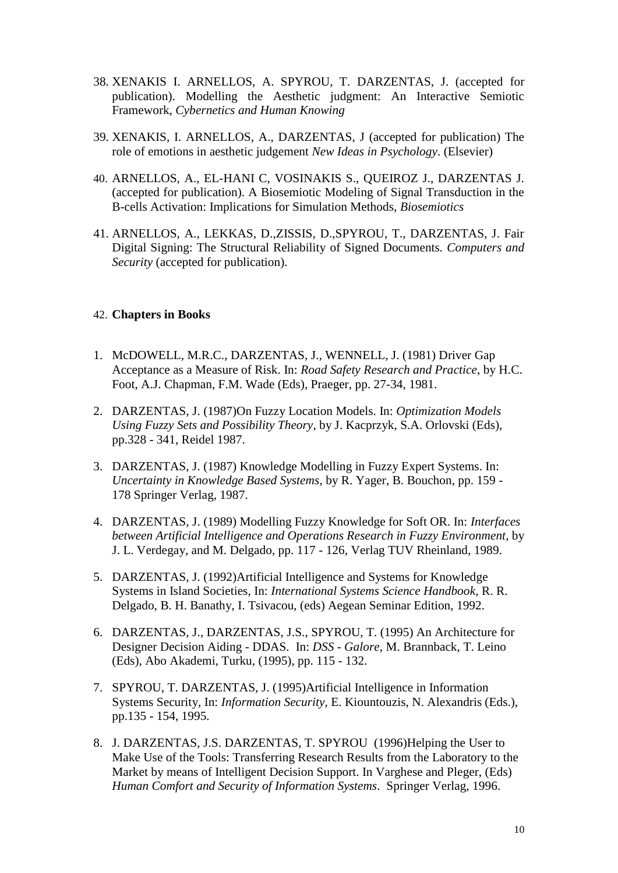- 38. XENAKIS I. ARNELLOS, A. SPYROU, T. DARZENTAS, J. (accepted for publication). Modelling the Aesthetic judgment: An Interactive Semiotic Framework, *Cybernetics and Human Knowing*
- 39. XENAKIS, I. ARNELLOS, A., DARZENTAS, J (accepted for publication) The role of emotions in aesthetic judgement *New Ideas in Psychology*. (Elsevier)
- 40. ARNELLOS, A., EL-HANI C, VOSINAKIS S., QUEIROZ J., DARZENTAS J. (accepted for publication). A Biosemiotic Modeling of Signal Transduction in the B-cells Activation: Implications for Simulation Methods, *Biosemiotics*
- 41. ARNELLOS, A., LEKKAS, D.,ZISSIS, D.,SPYROU, T., DARZENTAS, J. Fair Digital Signing: The Structural Reliability of Signed Documents*. Computers and Security* (accepted for publication).

## 42. **Chapters in Books**

- 1. McDOWELL, M.R.C., DARZENTAS, J., WENNELL, J. (1981) Driver Gap Acceptance as a Measure of Risk. In: *Road Safety Research and Practice*, by H.C. Foot, A.J. Chapman, F.M. Wade (Eds), Praeger, pp. 27-34, 1981.
- 2. DARZENTAS, J. (1987)On Fuzzy Location Models. In: *Optimization Models Using Fuzzy Sets and Possibility Theory*, by J. Kacprzyk, S.A. Orlovski (Eds), pp.328 - 341, Reidel 1987.
- 3. DARZENTAS, J. (1987) Knowledge Modelling in Fuzzy Expert Systems. In: *Uncertainty in Knowledge Based Systems*, by R. Yager, B. Bouchon, pp. 159 - 178 Springer Verlag, 1987.
- 4. DARZENTAS, J. (1989) Modelling Fuzzy Knowledge for Soft OR. In: *Interfaces between Artificial Intelligence and Operations Research in Fuzzy Environment*, by J. L. Verdegay, and M. Delgado, pp. 117 - 126, Verlag TUV Rheinland, 1989.
- 5. DARZENTAS, J. (1992)Artificial Intelligence and Systems for Knowledge Systems in Island Societies, In: *International Systems Science Handbook*, R. R. Delgado, B. H. Banathy, I. Tsivacou, (eds) Aegean Seminar Edition, 1992.
- 6. DARZENTAS, J., DARZENTAS, J.S., SPYROU, T. (1995) An Architecture for Designer Decision Aiding - DDAS. In: *DSS - Galore*, M. Brannback, T. Leino (Eds), Abo Akademi, Turku, (1995), pp. 115 - 132.
- 7. SPYROU, T. DARZENTAS, J. (1995)Artificial Intelligence in Information Systems Security, In: *Information Security*, E. Kiountouzis, N. Alexandris (Eds.), pp.135 - 154, 1995.
- 8. J. DARZENTAS, J.S. DARZENTAS, T. SPYROU (1996)Helping the User to Make Use of the Tools: Transferring Research Results from the Laboratory to the Market by means of Intelligent Decision Support. In Varghese and Pleger, (Eds) *Human Comfort and Security of Information Systems*. Springer Verlag, 1996.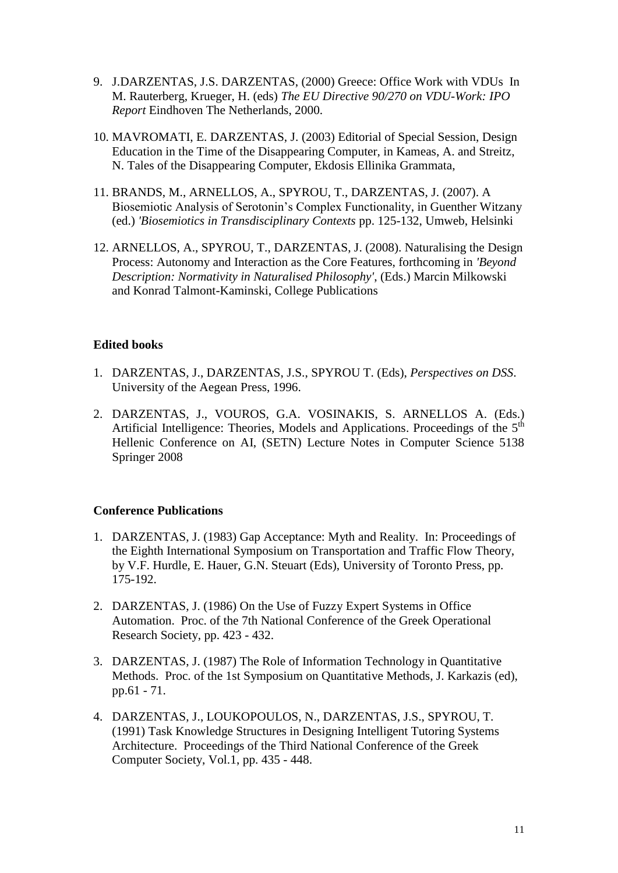- 9. J.DARZENTAS, J.S. DARZENTAS, (2000) Greece: Office Work with VDUs In M. Rauterberg, Krueger, H. (eds) *The EU Directive 90/270 on VDU-Work: IPO Report* Eindhoven The Netherlands, 2000.
- 10. MAVROMATI, E. DARZENTAS, J. (2003) Editorial of Special Session, Design Education in the Time of the Disappearing Computer, in Kameas, A. and Streitz, N. Tales of the Disappearing Computer, Ekdosis Ellinika Grammata,
- 11. BRANDS, M., ARNELLOS, A., SPYROU, T., DARZENTAS, J. (2007). A Biosemiotic Analysis of Serotonin's Complex Functionality, in Guenther Witzany (ed.) *'Biosemiotics in Transdisciplinary Contexts* pp. 125-132, Umweb, Helsinki
- 12. ARNELLOS, A., SPYROU, T., DARZENTAS, J. (2008). Naturalising the Design Process: Autonomy and Interaction as the Core Features, forthcoming in *'Beyond Description: Normativity in Naturalised Philosophy'*, (Eds.) Marcin Milkowski and Konrad Talmont-Kaminski, College Publications

## **Edited books**

- 1. DARZENTAS, J., DARZENTAS, J.S., SPYROU T. (Eds), *Perspectives on DSS*. University of the Aegean Press, 1996.
- 2. DARZENTAS, J., VOUROS, G.A. VOSINAKIS, S. ARNELLOS A. (Eds.) Artificial Intelligence: Theories, Models and Applications. Proceedings of the 5<sup>th</sup> Hellenic Conference on AI, (SETN) Lecture Notes in Computer Science 5138 Springer 2008

#### **Conference Publications**

- 1. DARZENTAS, J. (1983) Gap Acceptance: Myth and Reality. In: Proceedings of the Eighth International Symposium on Transportation and Traffic Flow Theory, by V.F. Hurdle, E. Hauer, G.N. Steuart (Eds), University of Toronto Press, pp. 175-192.
- 2. DARZENTAS, J. (1986) On the Use of Fuzzy Expert Systems in Office Automation. Proc. of the 7th National Conference of the Greek Operational Research Society, pp. 423 - 432.
- 3. DARZENTAS, J. (1987) The Role of Information Technology in Quantitative Methods. Proc. of the 1st Symposium on Quantitative Methods, J. Karkazis (ed), pp.61 - 71.
- 4. DARZENTAS, J., LOUKOPOULOS, N., DARZENTAS, J.S., SPYROU, T. (1991) Task Knowledge Structures in Designing Intelligent Tutoring Systems Architecture. Proceedings of the Third National Conference of the Greek Computer Society, Vol.1, pp. 435 - 448.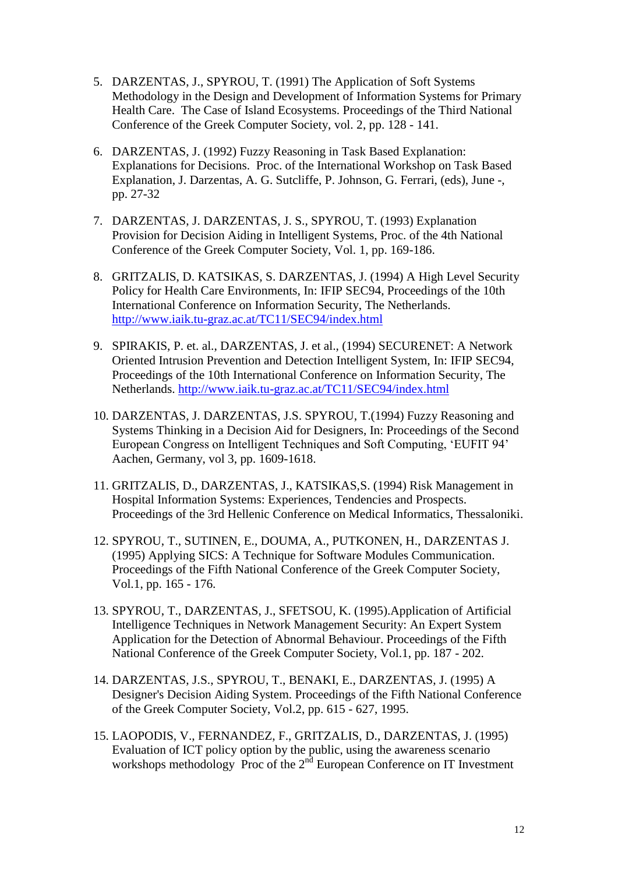- 5. DARZENTAS, J., SPYROU, T. (1991) The Application of Soft Systems Methodology in the Design and Development of Information Systems for Primary Health Care. The Case of Island Ecosystems. Proceedings of the Third National Conference of the Greek Computer Society, vol. 2, pp. 128 - 141.
- 6. DARZENTAS, J. (1992) Fuzzy Reasoning in Task Based Explanation: Explanations for Decisions. Proc. of the International Workshop on Task Based Explanation, J. Darzentas, A. G. Sutcliffe, P. Johnson, G. Ferrari, (eds), June -, pp. 27-32
- 7. DARZENTAS, J. DARZENTAS, J. S., SPYROU, T. (1993) Explanation Provision for Decision Aiding in Intelligent Systems, Proc. of the 4th National Conference of the Greek Computer Society, Vol. 1, pp. 169-186.
- 8. GRITZALIS, D. KATSIKAS, S. DARZENTAS, J. (1994) A High Level Security Policy for Health Care Environments, In: IFIP SEC94, Proceedings of the 10th International Conference on Information Security, The Netherlands. <http://www.iaik.tu-graz.ac.at/TC11/SEC94/index.html>
- 9. SPIRAKIS, P. et. al., DARZENTAS, J. et al., (1994) SECURENET: A Network Oriented Intrusion Prevention and Detection Intelligent System, In: IFIP SEC94, Proceedings of the 10th International Conference on Information Security, The Netherlands.<http://www.iaik.tu-graz.ac.at/TC11/SEC94/index.html>
- 10. DARZENTAS, J. DARZENTAS, J.S. SPYROU, T.(1994) Fuzzy Reasoning and Systems Thinking in a Decision Aid for Designers, In: Proceedings of the Second European Congress on Intelligent Techniques and Soft Computing, ‗EUFIT 94' Aachen, Germany, vol 3, pp. 1609-1618.
- 11. GRITZALIS, D., DARZENTAS, J., KATSIKAS,S. (1994) Risk Management in Hospital Information Systems: Experiences, Tendencies and Prospects. Proceedings of the 3rd Hellenic Conference on Medical Informatics, Thessaloniki.
- 12. SPYROU, T., SUTINEN, E., DOUMA, A., PUTKONEN, H., DARZENTAS J. (1995) Applying SICS: A Technique for Software Modules Communication. Proceedings of the Fifth National Conference of the Greek Computer Society, Vol.1, pp. 165 - 176.
- 13. SPYROU, T., DARZENTAS, J., SFETSOU, K. (1995).Application of Artificial Intelligence Techniques in Network Management Security: An Expert System Application for the Detection of Abnormal Behaviour. Proceedings of the Fifth National Conference of the Greek Computer Society, Vol.1, pp. 187 - 202.
- 14. DARZENTAS, J.S., SPYROU, T., BENAKI, E., DARZENTAS, J. (1995) A Designer's Decision Aiding System. Proceedings of the Fifth National Conference of the Greek Computer Society, Vol.2, pp. 615 - 627, 1995.
- 15. LAOPODIS, V., FERNANDEZ, F., GRITZALIS, D., DARZENTAS, J. (1995) Evaluation of ICT policy option by the public, using the awareness scenario workshops methodology Proc of the 2<sup>nd</sup> European Conference on IT Investment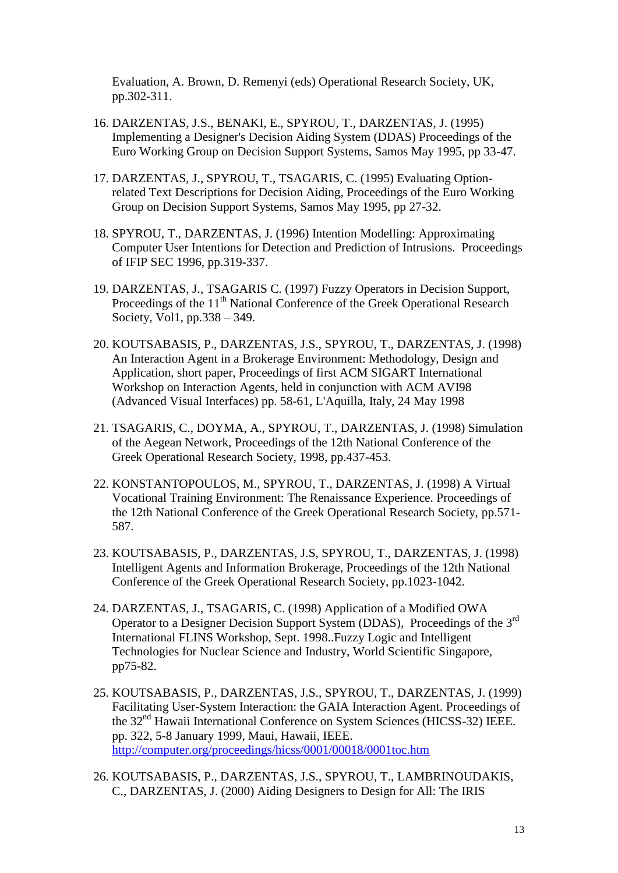Evaluation, A. Brown, D. Remenyi (eds) Operational Research Society, UK, pp.302-311.

- 16. DARZENTAS, J.S., BENAKI, E., SPYROU, T., DARZENTAS, J. (1995) Implementing a Designer's Decision Aiding System (DDAS) Proceedings of the Euro Working Group on Decision Support Systems, Samos May 1995, pp 33-47.
- 17. DARZENTAS, J., SPYROU, T., TSAGARIS, C. (1995) Evaluating Optionrelated Text Descriptions for Decision Aiding, Proceedings of the Euro Working Group on Decision Support Systems, Samos May 1995, pp 27-32.
- 18. SPYROU, T., DARZENTAS, J. (1996) Intention Modelling: Approximating Computer User Intentions for Detection and Prediction of Intrusions. Proceedings of IFIP SEC 1996, pp.319-337.
- 19. DARZENTAS, J., TSAGARIS C. (1997) Fuzzy Operators in Decision Support, Proceedings of the 11<sup>th</sup> National Conference of the Greek Operational Research Society, Vol1, pp.338 – 349.
- 20. KOUTSABASIS, P., DARZENTAS, J.S., SPYROU, T., DARZENTAS, J. (1998) An Interaction Agent in a Brokerage Environment: Methodology, Design and Application, short paper, Proceedings of first ACM SIGART International Workshop on Interaction Agents, held in conjunction with ACM AVI98 (Advanced Visual Interfaces) pp. 58-61, L'Aquilla, Italy, 24 May 1998
- 21. TSAGARIS, C., DOYMA, A., SPYROU, T., DARZENTAS, J. (1998) Simulation of the Aegean Network, Proceedings of the 12th National Conference of the Greek Operational Research Society, 1998, pp.437-453.
- 22. KONSTANTOPOULOS, M., SPYROU, T., DARZENTAS, J. (1998) A Virtual Vocational Training Environment: The Renaissance Experience. Proceedings of the 12th National Conference of the Greek Operational Research Society, pp.571- 587.
- 23. KOUTSABASIS, P., DARZENTAS, J.S, SPYROU, T., DARZENTAS, J. (1998) Intelligent Agents and Information Brokerage, Proceedings of the 12th National Conference of the Greek Operational Research Society, pp.1023-1042.
- 24. DARZENTAS, J., TSAGARIS, C. (1998) Application of a Modified OWA Operator to a Designer Decision Support System (DDAS), Proceedings of the 3rd International FLINS Workshop, Sept. 1998..Fuzzy Logic and Intelligent Technologies for Nuclear Science and Industry, World Scientific Singapore, pp75-82.
- 25. KOUTSABASIS, P., DARZENTAS, J.S., SPYROU, T., DARZENTAS, J. (1999) Facilitating User-System Interaction: the GAIA Interaction Agent. Proceedings of the 32nd Hawaii International Conference on System Sciences (HICSS-32) IEEE. pp. 322, 5-8 January 1999, Maui, Hawaii, IEEE. <http://computer.org/proceedings/hicss/0001/00018/0001toc.htm>
- 26. KOUTSABASIS, P., DARZENTAS, J.S., SPYROU, T., LAMBRINOUDAKIS, C., DARZENTAS, J. (2000) Aiding Designers to Design for All: The IRIS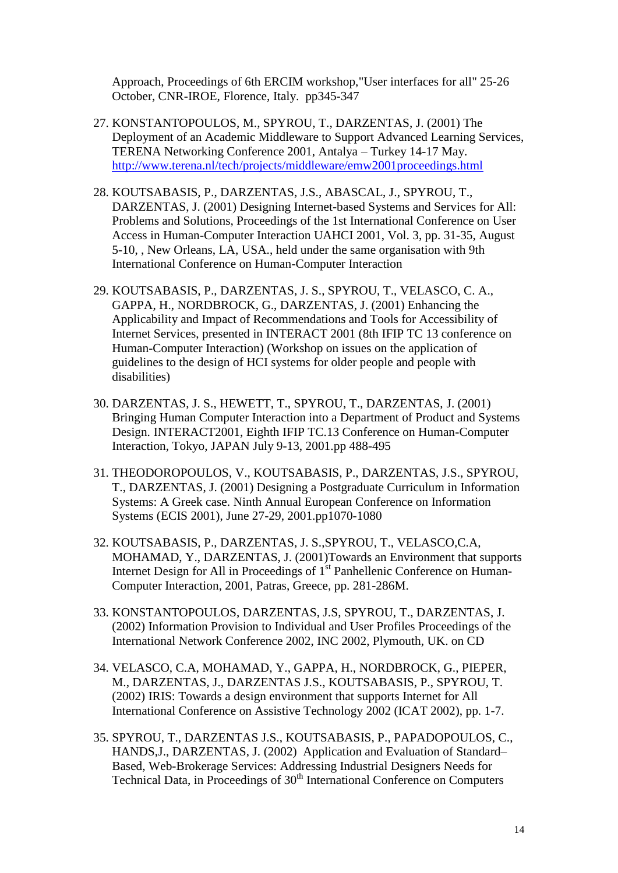Approach, Proceedings of 6th ERCIM workshop,"User interfaces for all" 25-26 October, [CNR-IROE,](http://www.iroe.fi.cnr.it/) Florence, Italy. pp345-347

- 27. KONSTANTOPOULOS, M., SPYROU, T., DARZENTAS, J. (2001) The Deployment of an Academic Middleware to Support Advanced Learning Services, TERENA Networking Conference 2001, Antalya – Turkey 14-17 May. <http://www.terena.nl/tech/projects/middleware/emw2001proceedings.html>
- 28. KOUTSABASIS, P., DARZENTAS, J.S., ABASCAL, J., SPYROU, T., DARZENTAS, J. (2001) Designing Internet-based Systems and Services for All: Problems and Solutions, Proceedings of the 1st International Conference on User Access in Human-Computer Interaction UAHCI 2001, Vol. 3, pp. 31-35, August 5-10, , New Orleans, LA, USA., held under the same organisation with 9th International Conference on Human-Computer Interaction
- 29. KOUTSABASIS, P., DARZENTAS, J. S., SPYROU, T., VELASCO, C. A., GAPPA, H., NORDBROCK, G., DARZENTAS, J. (2001) Enhancing the Applicability and Impact of Recommendations and Tools for Accessibility of Internet Services, presented in INTERACT 2001 (8th IFIP TC 13 conference on Human-Computer Interaction) (Workshop on issues on the application of guidelines to the design of HCI systems for older people and people with disabilities)
- 30. DARZENTAS, J. S., HEWETT, T., SPYROU, T., DARZENTAS, J. (2001) Bringing Human Computer Interaction into a Department of Product and Systems Design. INTERACT2001, Eighth IFIP TC.13 Conference on Human-Computer Interaction, Tokyo, JAPAN July 9-13, 2001.pp 488-495
- 31. THEODOROPOULOS, V., KOUTSABASIS, P., DARZENTAS, J.S., SPYROU, T., DARZENTAS, J. (2001) Designing a Postgraduate Curriculum in Information Systems: A Greek case. Ninth Annual European Conference on Information Systems (ECIS 2001), June 27-29, 2001.pp1070-1080
- 32. KOUTSABASIS, P., DARZENTAS, J. S.,SPYROU, T., VELASCO,C.A, MOHAMAD, Y., DARZENTAS, J. (2001)Towards an Environment that supports Internet Design for All in Proceedings of 1<sup>st</sup> Panhellenic Conference on Human-Computer Interaction, 2001, Patras, Greece, pp. 281-286M.
- 33. KONSTANTOPOULOS, DARZENTAS, J.S, SPYROU, T., DARZENTAS, J. (2002) Information Provision to Individual and User Profiles Proceedings of the International Network Conference 2002, INC 2002, Plymouth, UK. on CD
- 34. VELASCO, C.A, MOHAMAD, Y., GAPPA, H., NORDBROCK, G., PIEPER, M., DARZENTAS, J., DARZENTAS J.S., KOUTSABASIS, P., SPYROU, T. (2002) IRIS: Towards a design environment that supports Internet for All International Conference on Assistive Technology 2002 (ICAT 2002), pp. 1-7.
- 35. SPYROU, T., DARZENTAS J.S., KOUTSABASIS, P., PAPADOPOULOS, C., HANDS,J., DARZENTAS, J. (2002) Application and Evaluation of Standard– Based, Web-Brokerage Services: Addressing Industrial Designers Needs for Technical Data, in Proceedings of 30<sup>th</sup> International Conference on Computers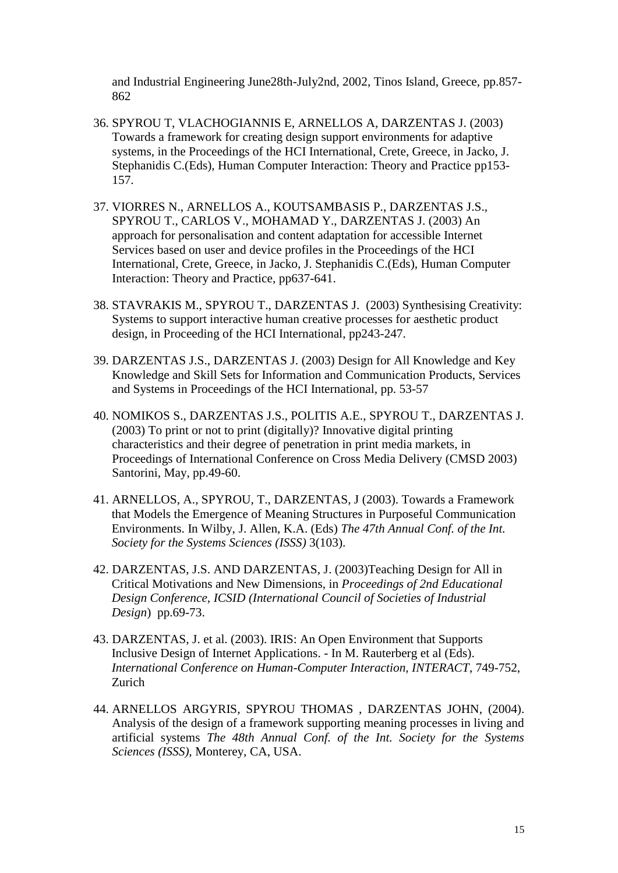and Industrial Engineering June28th-July2nd, 2002, Tinos Island, Greece, pp.857- 862

- 36. SPYROU T, VLACHOGIANNIS E, ARNELLOS A, DARZENTAS J. (2003) Towards a framework for creating design support environments for adaptive systems, in the Proceedings of the HCI International, Crete, Greece, in Jacko, J. Stephanidis C.(Eds), Human Computer Interaction: Theory and Practice pp153- 157.
- 37. VIORRES N., ARNELLOS A., KOUTSAMBASIS P., DARZENTAS J.S., SPYROU T., CARLOS V., MOHAMAD Y., DARZENTAS J. (2003) An approach for personalisation and content adaptation for accessible Internet Services based on user and device profiles in the Proceedings of the HCI International, Crete, Greece, in Jacko, J. Stephanidis C.(Eds), Human Computer Interaction: Theory and Practice, pp637-641.
- 38. STAVRAKIS M., SPYROU T., DARZENTAS J. (2003) Synthesising Creativity: Systems to support interactive human creative processes for aesthetic product design, in Proceeding of the HCI International, pp243-247.
- 39. DARZENTAS J.S., DARZENTAS J. (2003) Design for All Knowledge and Key Knowledge and Skill Sets for Information and Communication Products, Services and Systems in Proceedings of the HCI International, pp. 53-57
- 40. NOMIKOS S., DARZENTAS J.S., POLITIS A.E., SPYROU T., DARZENTAS J. (2003) To print or not to print (digitally)? Innovative digital printing characteristics and their degree of penetration in print media markets, in Proceedings of International Conference on Cross Media Delivery (CMSD 2003) Santorini, May, pp.49-60.
- 41. [ARNELLOS,](http://www.syros.aegean.gr/users/arar/) A., [SPYROU,](http://www.syros.aegean.gr/users/tsp/) T., DARZENTAS, J (2003). Towards a Framework that Models the Emergence of Meaning Structures in Purposeful Communication Environments. In Wilby, J. Allen, K.A. (Eds) *The 47th Annual Conf. of the Int. Society for the Systems Sciences (ISSS)* 3(103).
- 42. DARZENTAS, J.S. AND DARZENTAS, J. (2003)Teaching Design for All in Critical Motivations and New Dimensions, in *Proceedings of 2nd Educational Design Conference, ICSID (International Council of Societies of Industrial Design*) pp.69-73.
- 43. DARZENTAS, J. et al. (2003). IRIS: An Open Environment that Supports Inclusive Design of Internet Applications. - In M. Rauterberg et al (Eds). *International Conference on Human-Computer Interaction, INTERACT*, 749-752, Zurich
- 44. ARNELLOS ARGYRIS, SPYROU THOMAS , DARZENTAS JOHN, (2004). Analysis of the design of a framework supporting meaning processes in living and artificial systems *The 48th Annual Conf. of the Int. Society for the Systems Sciences (ISSS),* Monterey, CA, USA.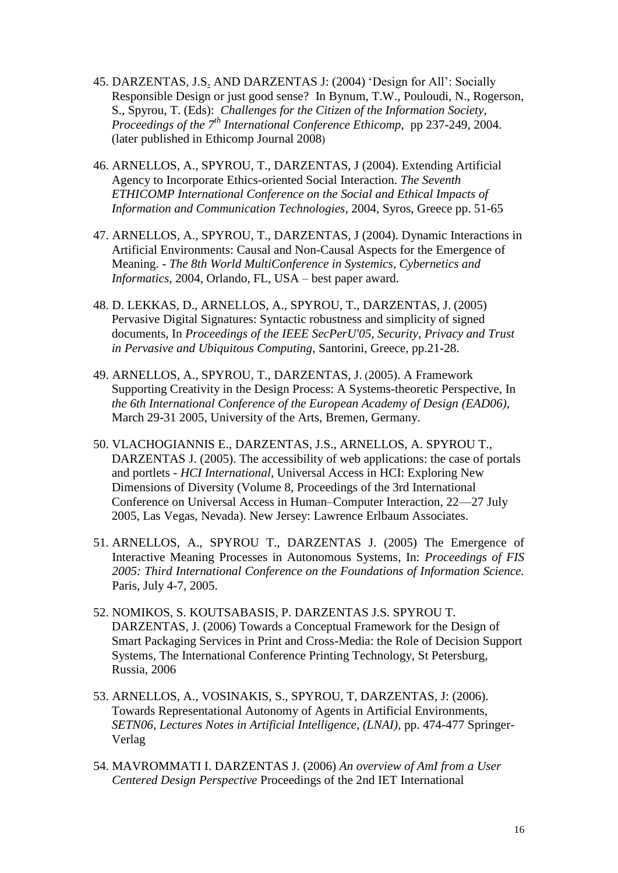- 45. DARZENTAS, J.S. AND DARZENTAS J: (2004) ‗Design for All': Socially Responsible Design or just good sense?In Bynum, T.W., Pouloudi, N., Rogerson, S., Spyrou, T. (Eds): *Challenges for the Citizen of the Information Society, Proceedings of the 7th International Conference Ethicomp*, pp 237-249, 2004. (later published in Ethicomp Journal 2008)
- 46. [ARNELLOS,](http://www.syros.aegean.gr/users/arar/) A., [SPYROU,](http://www.syros.aegean.gr/users/tsp/) T., DARZENTAS, J (2004). Extending Artificial Agency to Incorporate Ethics-oriented Social Interaction. *The Seventh ETHICOMP International Conference on the Social and Ethical Impacts of Information and Communication Technologies*, 2004, Syros, Greece pp. 51-65
- 47. [ARNELLOS,](http://www.syros.aegean.gr/users/arar/) A., [SPYROU,](http://www.syros.aegean.gr/users/tsp/) T., DARZENTAS, J (2004). Dynamic Interactions in Artificial Environments: Causal and Non-Causal Aspects for the Emergence of Meaning. - *The 8th World MultiConference in Systemics, Cybernetics and Informatics*, 2004, Orlando, FL, USA – best paper award.
- 48. [D. LEKKAS,](http://www.syros.aegean.gr/users/lekkas) D., [ARNELLOS,](http://www.syros.aegean.gr/users/arar/) A., [SPYROU,](http://www.syros.aegean.gr/users/tsp/) T., DARZENTAS, J. (2005) [Pervasive Digital Signatures: Syntactic robustness and simplicity of signed](http://www.syros.aegean.gr/users/lekkas/pubs/c/2005SECPERU.htm)  [documents,](http://www.syros.aegean.gr/users/lekkas/pubs/c/2005SECPERU.htm) In *Proceedings of the IEEE SecPerU'05, Security, Privacy and Trust in Pervasive and Ubiquitous Computing*, Santorini, Greece, pp.21-28.
- 49. [ARNELLOS,](http://www.syros.aegean.gr/users/arar/) A., [SPYROU,](http://www.syros.aegean.gr/users/tsp/) T., DARZENTAS, J. (2005). A Framework Supporting Creativity in the Design Process: A Systems-theoretic Perspective, Ιn *the 6th International Conference of the European Academy of Design (EAD06)*, March 29-31 2005, University of the Arts, Bremen, Germany.
- 50. [VLACHOGIANNIS E.,](http://www.syros.aegean.gr/users/evlach/default.php) DARZENTAS, J.S., ARNELLOS, A. [SPYROU T.,](http://www/syros.aegean.gr/users/tsp/) DARZENTAS J. (2005). The accessibility of web applications: the case of portals and portlets - *HCI International*, Universal Access in HCI: Exploring New Dimensions of Diversity (Volume 8, Proceedings of the 3rd International Conference on Universal Access in Human–Computer Interaction, 22—27 July 2005, Las Vegas, Nevada). New Jersey: Lawrence Erlbaum Associates.
- 51. ARNELLOS, A., SPYROU T., DARZENTAS J. (2005) The Emergence of Interactive Meaning Processes in Autonomous Systems, In: *Proceedings of FIS 2005: Third International Conference on the Foundations of Information Science.* Paris, July 4-7, 2005.
- 52. NOMIKOS, S. KOUTSABASIS, P. DARZENTAS J.S. SPYROU T. DARZENTAS, J. (2006) Towards a Conceptual Framework for the Design of Smart Packaging Services in Print and Cross-Media: the Role of Decision Support Systems, The International Conference Printing Technology, St Petersburg, Russia, 2006
- 53. ARNELLOS, A., VOSINAKIS, S., SPYROU, T, DARZENTAS, J: (2006). Towards Representational Autonomy of Agents in Artificial Environments, *SETN06, Lectures Notes in Artificial Intelligence, (LNAI)*, pp. 474-477 Springer-Verlag
- 54. MAVROMMATI I. DARZENTAS J. (2006) *An overview of AmI from a User Centered Design Perspective* Proceedings of the 2nd IET International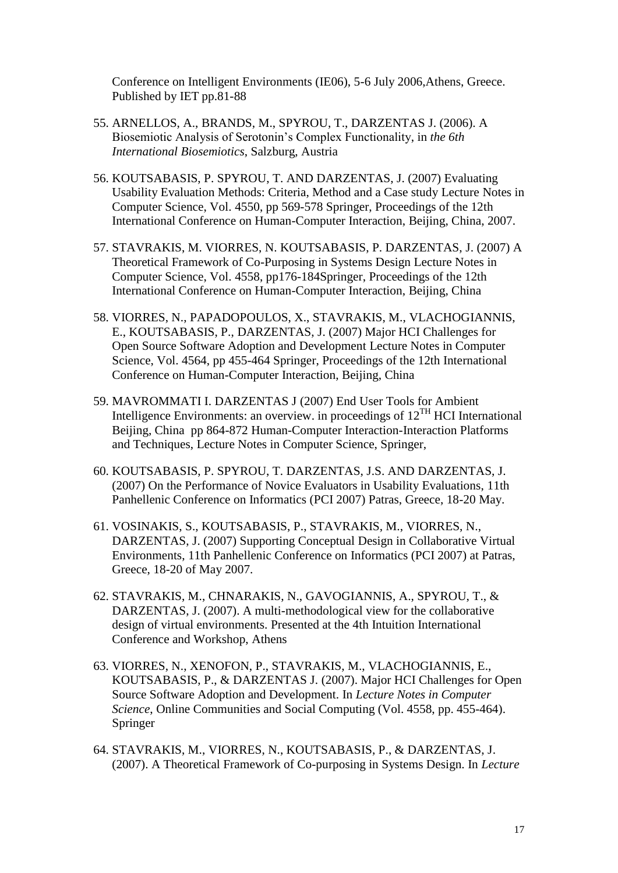Conference on Intelligent Environments (IE06), 5-6 July 2006,Athens, Greece. Published by IET pp.81-88

- 55. ARNELLOS, A., BRANDS, M., SPYROU, T., DARZENTAS J. (2006). A Biosemiotic Analysis of Serotonin's Complex Functionality, in *the 6th International Biosemiotics*, Salzburg, Austria
- 56. KOUTSABASIS, P. SPYROU, T. AND DARZENTAS, J. (2007) Evaluating Usability Evaluation Methods: Criteria, Method and a Case study Lecture Notes in Computer Science, Vol. 4550, pp 569-578 Springer, Proceedings of the 12th International Conference on Human-Computer Interaction, Beijing, China, 2007.
- 57. STAVRAKIS, M. VIORRES, N. KOUTSABASIS, P. DARZENTAS, J. (2007) A Theoretical Framework of Co-Purposing in Systems Design Lecture Notes in Computer Science, Vol. 4558, pp176-184Springer, Proceedings of the 12th International Conference on Human-Computer Interaction, Beijing, China
- 58. VIORRES, N., PAPADOPOULOS, X., STAVRAKIS, M., VLACHOGIANNIS, E., KOUTSABASIS, P., DARZENTAS, J. (2007) Major HCI Challenges for Open Source Software Adoption and Development Lecture Notes in Computer Science, Vol. 4564, pp 455-464 Springer, Proceedings of the 12th International Conference on Human-Computer Interaction, Beijing, China
- 59. MAVROMMATI I. DARZENTAS J (2007) End User Tools for Ambient Intelligence Environments: an overview. in proceedings of  $12^{TH}$  HCI International Beijing, China pp 864-872 Human-Computer Interaction-Interaction Platforms and Techniques, Lecture Notes in Computer Science, Springer,
- 60. KOUTSABASIS, P. SPYROU, T. DARZENTAS, J.S. AND DARZENTAS, J. (2007) On the Performance of Novice Evaluators in Usability Evaluations, 11th Panhellenic Conference on Informatics (PCI 2007) Patras, Greece, 18-20 May.
- 61. VOSINAKIS, S., KOUTSABASIS, P., STAVRAKIS, M., VIORRES, N., DARZENTAS, J. (2007) Supporting Conceptual Design in Collaborative Virtual Environments, 11th Panhellenic Conference on Informatics (PCI 2007) at Patras, Greece, 18-20 of May 2007.
- 62. STAVRAKIS, M., CHNARAKIS, N., GAVOGIANNIS, A., SPYROU, T., & DARZENTAS, J. (2007). A multi-methodological view for the collaborative design of virtual environments. Presented at the 4th Intuition International Conference and Workshop, Athens
- 63. VIORRES, N., XENOFON, P., STAVRAKIS, M., VLACHOGIANNIS, E., KOUTSABASIS, P., & DARZENTAS J. (2007). Major HCI Challenges for Open Source Software Adoption and Development. In *Lecture Notes in Computer Science*, Online Communities and Social Computing (Vol. 4558, pp. 455-464). Springer
- 64. STAVRAKIS, M., VIORRES, N., KOUTSABASIS, P., & DARZENTAS, J. (2007). A Theoretical Framework of Co-purposing in Systems Design. In *Lecture*